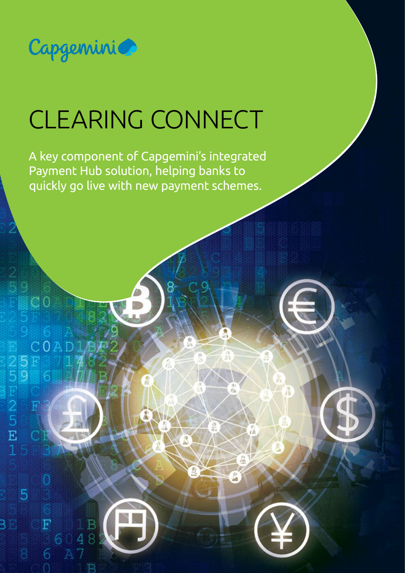

 $C<sub>0</sub>$ 

5<br>9

25F25F1

COAD

 $\overline{C}$ 

 $\overline{F}$ 

6

5

B

# CLEARING CONNECT

A key component of Capgemini's integrated Payment Hub solution, helping banks to quickly go live with new payment schemes.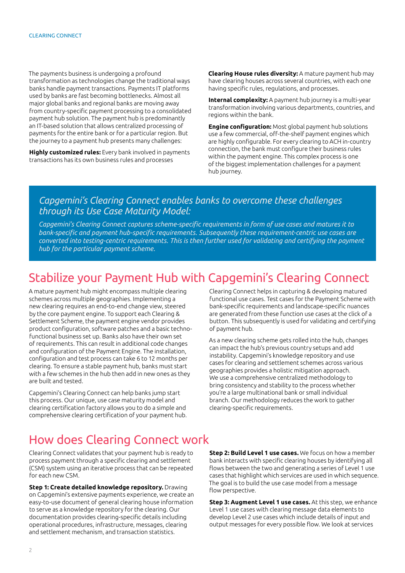The payments business is undergoing a profound transformation as technologies change the traditional ways banks handle payment transactions. Payments IT platforms used by banks are fast becoming bottlenecks. Almost all major global banks and regional banks are moving away from country-specific payment processing to a consolidated payment hub solution. The payment hub is predominantly an IT-based solution that allows centralized processing of payments for the entire bank or for a particular region. But the journey to a payment hub presents many challenges:

**Highly customized rules:** Every bank involved in payments transactions has its own business rules and processes

**Clearing House rules diversity:** A mature payment hub may have clearing houses across several countries, with each one having specific rules, regulations, and processes.

**Internal complexity:** A payment hub journey is a multi-year transformation involving various departments, countries, and regions within the bank.

**Engine configuration:** Most global payment hub solutions use a few commercial, off-the-shelf payment engines which are highly configurable. For every clearing to ACH in-country connection, the bank must configure their business rules within the payment engine. This complex process is one of the biggest implementation challenges for a payment hub journey.

#### *Capgemini's Clearing Connect enables banks to overcome these challenges through its Use Case Maturity Model:*

*Capgemini's Clearing Connect captures scheme-specific requirements in form of use cases and matures it to bank-specific and payment hub-specific requirements. Subsequently these requirement-centric use cases are converted into testing-centric requirements. This is then further used for validating and certifying the payment hub for the particular payment scheme.*

## Stabilize your Payment Hub with Capgemini's Clearing Connect

A mature payment hub might encompass multiple clearing schemes across multiple geographies. Implementing a new clearing requires an end-to-end change view, steered by the core payment engine. To support each Clearing & Settlement Scheme, the payment engine vendor provides product configuration, software patches and a basic technofunctional business set up. Banks also have their own set of requirements. This can result in additional code changes and configuration of the Payment Engine. The installation, configuration and test process can take 6 to 12 months per clearing. To ensure a stable payment hub, banks must start with a few schemes in the hub then add in new ones as they are built and tested.

Capgemini's Clearing Connect can help banks jump start this process. Our unique, use case maturity model and clearing certification factory allows you to do a simple and comprehensive clearing certification of your payment hub. Clearing Connect helps in capturing & developing matured functional use cases. Test cases for the Payment Scheme with bank-specific requirements and landscape-specific nuances are generated from these function use cases at the click of a button. This subsequently is used for validating and certifying of payment hub.

As a new clearing scheme gets rolled into the hub, changes can impact the hub's previous country setups and add instability. Capgemini's knowledge repository and use cases for clearing and settlement schemes across various geographies provides a holistic mitigation approach. We use a comprehensive centralized methodology to bring consistency and stability to the process whether you're a large multinational bank or small individual branch. Our methodology reduces the work to gather clearing-specific requirements.

# How does Clearing Connect work

Clearing Connect validates that your payment hub is ready to process payment through a specific clearing and settlement (CSM) system using an iterative process that can be repeated for each new CSM.

**Step 1: Create detailed knowledge repository.** Drawing on Capgemini's extensive payments experience, we create an easy-to-use document of general clearing house information to serve as a knowledge repository for the clearing. Our documentation provides clearing-specific details including operational procedures, infrastructure, messages, clearing and settlement mechanism, and transaction statistics.

**Step 2: Build Level 1 use cases.** We focus on how a member bank interacts with specific clearing houses by identifying all flows between the two and generating a series of Level 1 use cases that highlight which services are used in which sequence. The goal is to build the use case model from a message flow perspective.

**Step 3: Augment Level 1 use cases.** At this step, we enhance Level 1 use cases with clearing message data elements to develop Level 2 use cases which include details of input and output messages for every possible flow. We look at services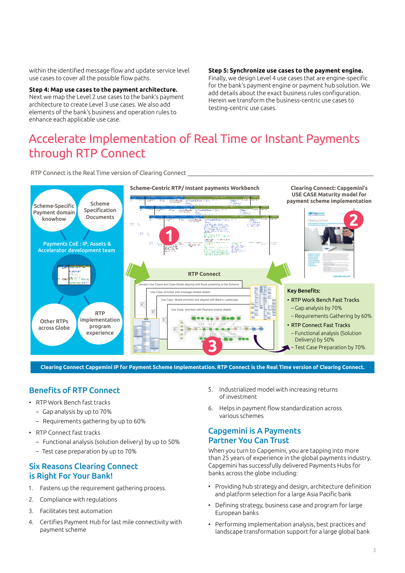within the identified message flow and update service level use cases to cover all the possible flow paths.

**Step 4: Map use cases to the payment architecture.** Next we map the Level 2 use cases to the bank's payment architecture to create Level 3 use cases. We also add elements of the bank's business and operation rules to enhance each applicable use case.

**Step 5: Synchronize use cases to the payment engine.** Finally, we design Level 4 use cases that are engine-specific for the bank's payment engine or payment hub solution. We add details about the exact business rules configuration. Herein we transform the business-centric use cases to testing-centric use cases.

# Accelerate Implementation of Real Time or Instant Payments through RTP Connect

RTP Connect is the Real Time version of Clearing Connect  $\_$  , and the set of the set of the set of the set of the set of the set of the set of the set of the set of the set of the set of the set of the set of the set of the set of the set of the set of the set of the set of th



**Clearing Connect Capgemini IP for Payment Scheme Implementation. RTP Connect is the Real Time version of Clearing Connect.**

#### Benefits of RTP Connect

- RTP Work Bench fast tracks
	- Gap analysis by up to 70%
	- Requirements gathering by up to 60%
- RTP Connect fast tracks
	- Functional analysis (solution delivery) by up to 50%
	- Test case preparation by up to 70%

#### Six Reasons Clearing Connect is Right For Your Bank!

- 1. Fastens up the requirement gathering process.
- 2. Compliance with regulations
- 3. Facilitates test automation
- 4. Certifies Payment Hub for last mile connectivity with payment scheme
- 5. Industrialized model with increasing returns of investment
- 6. Helps in payment flow standardization across various schemes

#### Capgemini is A Payments Partner You Can Trust

When you turn to Capgemini, you are tapping into more than 25 years of experience in the global payments industry. Capgemini has successfully delivered Payments Hubs for banks across the globe including:

- Providing hub strategy and design, architecture definition and platform selection for a large Asia Pacific bank
- Defining strategy, business case and program for large European banks
- Performing implementation analysis, best practices and landscape transformation support for a large global bank